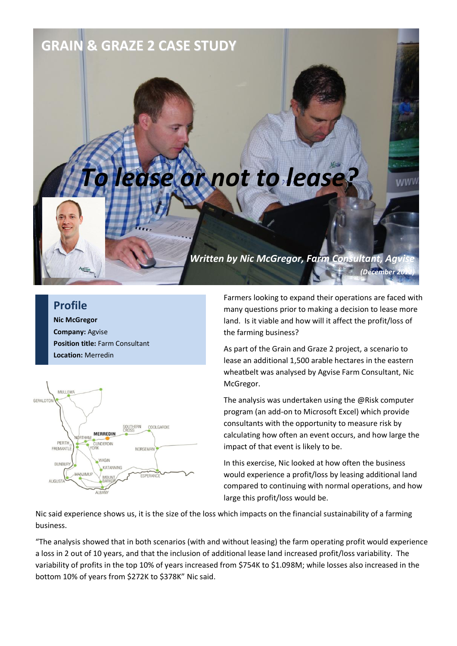## **GRAIN & GRAZE 2 CASE STUDY**

## *To lease or not to lease?*

## **Profile**

**Nic McGregor Company:** Agvise **Position title:** Farm Consultant **Location:** Merredin



Farmers looking to expand their operations are faced with many questions prior to making a decision to lease more land. Is it viable and how will it affect the profit/loss of the farming business?

*(December 2012)*

**WWV** 

*Written by Nic McGregor, Farm Consultant, Agvise*

As part of the Grain and Graze 2 project, a scenario to lease an additional 1,500 arable hectares in the eastern wheatbelt was analysed by Agvise Farm Consultant, Nic McGregor.

The analysis was undertaken using the @Risk computer program (an add-on to Microsoft Excel) which provide consultants with the opportunity to measure risk by calculating how often an event occurs, and how large the impact of that event is likely to be.

In this exercise, Nic looked at how often the business would experience a profit/loss by leasing additional land compared to continuing with normal operations, and how large this profit/loss would be.

Nic said experience shows us, it is the size of the loss which impacts on the financial sustainability of a farming business.

"The analysis showed that in both scenarios (with and without leasing) the farm operating profit would experience a loss in 2 out of 10 years, and that the inclusion of additional lease land increased profit/loss variability. The variability of profits in the top 10% of years increased from \$754K to \$1.098M; while losses also increased in the bottom 10% of years from \$272K to \$378K" Nic said.